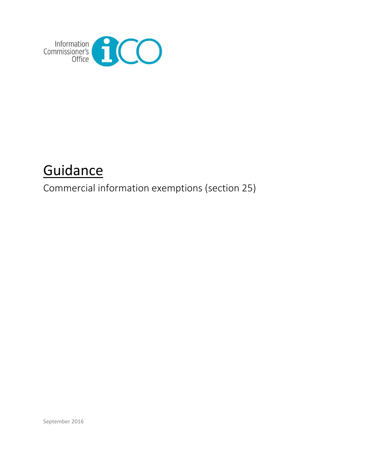

# **Guidance**

Commercial information exemptions (section 25)

September 2016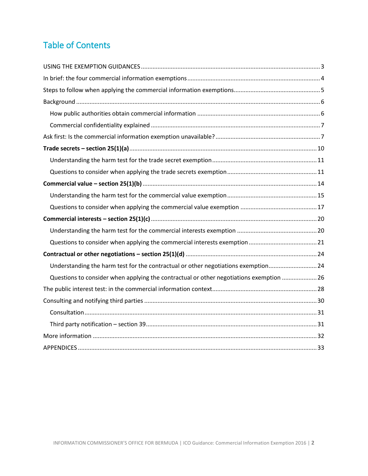# Table of Contents

| Understanding the harm test for the contractual or other negotiations exemption24       |  |
|-----------------------------------------------------------------------------------------|--|
| Questions to consider when applying the contractual or other negotiations exemption  26 |  |
|                                                                                         |  |
|                                                                                         |  |
|                                                                                         |  |
|                                                                                         |  |
|                                                                                         |  |
|                                                                                         |  |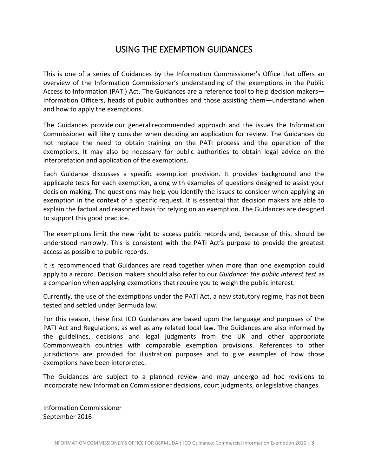# USING THE EXEMPTION GUIDANCES

<span id="page-2-0"></span>This is one of a series of Guidances by the Information Commissioner's Office that offers an overview of the Information Commissioner's understanding of the exemptions in the Public Access to Information (PATI) Act. The Guidances are a reference tool to help decision makers— Information Officers, heads of public authorities and those assisting them—understand when and how to apply the exemptions.

The Guidances provide our general recommended approach and the issues the Information Commissioner will likely consider when deciding an application for review. The Guidances do not replace the need to obtain training on the PATI process and the operation of the exemptions. It may also be necessary for public authorities to obtain legal advice on the interpretation and application of the exemptions.

Each Guidance discusses a specific exemption provision. It provides background and the applicable tests for each exemption, along with examples of questions designed to assist your decision making. The questions may help you identify the issues to consider when applying an exemption in the context of a specific request. It is essential that decision makers are able to explain the factual and reasoned basis for relying on an exemption. The Guidances are designed to support this good practice.

The exemptions limit the new right to access public records and, because of this, should be understood narrowly. This is consistent with the PATI Act's purpose to provide the greatest access as possible to public records.

It is recommended that Guidances are read together when more than one exemption could apply to a record. Decision makers should also refer to our *Guidance: the public interest test* as a companion when applying exemptions that require you to weigh the public interest.

Currently, the use of the exemptions under the PATI Act, a new statutory regime, has not been tested and settled under Bermuda law.

For this reason, these first ICO Guidances are based upon the language and purposes of the PATI Act and Regulations, as well as any related local law. The Guidances are also informed by the guidelines, decisions and legal judgments from the UK and other appropriate Commonwealth countries with comparable exemption provisions. References to other jurisdictions are provided for illustration purposes and to give examples of how those exemptions have been interpreted.

The Guidances are subject to a planned review and may undergo ad hoc revisions to incorporate new Information Commissioner decisions, court judgments, or legislative changes.

Information Commissioner September 2016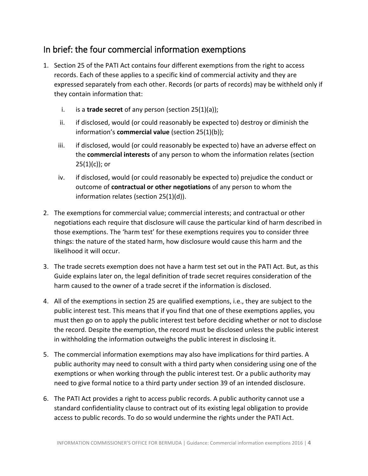# <span id="page-3-0"></span>In brief: the four commercial information exemptions

- 1. Section 25 of the PATI Act contains four different exemptions from the right to access records. Each of these applies to a specific kind of commercial activity and they are expressed separately from each other. Records (or parts of records) may be withheld only if they contain information that:
	- i. is a **trade secret** of any person (section 25(1)(a));
	- ii. if disclosed, would (or could reasonably be expected to) destroy or diminish the information's **commercial value** (section 25(1)(b));
	- iii. if disclosed, would (or could reasonably be expected to) have an adverse effect on the **commercial interests** of any person to whom the information relates (section  $25(1)(c)$ ; or
	- iv. if disclosed, would (or could reasonably be expected to) prejudice the conduct or outcome of **contractual or other negotiations** of any person to whom the information relates (section 25(1)(d)).
- 2. The exemptions for commercial value; commercial interests; and contractual or other negotiations each require that disclosure will cause the particular kind of harm described in those exemptions. The 'harm test' for these exemptions requires you to consider three things: the nature of the stated harm, how disclosure would cause this harm and the likelihood it will occur.
- 3. The trade secrets exemption does not have a harm test set out in the PATI Act. But, as this Guide explains later on, the legal definition of trade secret requires consideration of the harm caused to the owner of a trade secret if the information is disclosed.
- 4. All of the exemptions in section 25 are qualified exemptions, i.e., they are subject to the public interest test. This means that if you find that one of these exemptions applies, you must then go on to apply the public interest test before deciding whether or not to disclose the record. Despite the exemption, the record must be disclosed unless the public interest in withholding the information outweighs the public interest in disclosing it.
- 5. The commercial information exemptions may also have implications for third parties. A public authority may need to consult with a third party when considering using one of the exemptions or when working through the public interest test. Or a public authority may need to give formal notice to a third party under section 39 of an intended disclosure.
- 6. The PATI Act provides a right to access public records. A public authority cannot use a standard confidentiality clause to contract out of its existing legal obligation to provide access to public records. To do so would undermine the rights under the PATI Act.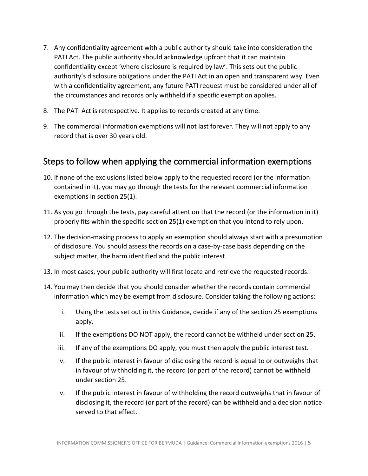- 7. Any confidentiality agreement with a public authority should take into consideration the PATI Act. The public authority should acknowledge upfront that it can maintain confidentiality except 'where disclosure is required by law'. This sets out the public authority's disclosure obligations under the PATI Act in an open and transparent way. Even with a confidentiality agreement, any future PATI request must be considered under all of the circumstances and records only withheld if a specific exemption applies.
- 8. The PATI Act is retrospective. It applies to records created at any time.
- 9. The commercial information exemptions will not last forever. They will not apply to any record that is over 30 years old.

# <span id="page-4-0"></span>Steps to follow when applying the commercial information exemptions

- 10. If none of the exclusions listed below apply to the requested record (or the information contained in it), you may go through the tests for the relevant commercial information exemptions in section 25(1).
- 11. As you go through the tests, pay careful attention that the record (or the information in it) properly fits within the specific section 25(1) exemption that you intend to rely upon.
- 12. The decision-making process to apply an exemption should always start with a presumption of disclosure. You should assess the records on a case-by-case basis depending on the subject matter, the harm identified and the public interest.
- 13. In most cases, your public authority will first locate and retrieve the requested records.
- 14. You may then decide that you should consider whether the records contain commercial information which may be exempt from disclosure. Consider taking the following actions:
	- i. Using the tests set out in this Guidance, decide if any of the section 25 exemptions apply.
	- ii. If the exemptions DO NOT apply, the record cannot be withheld under section 25.
	- iii. If any of the exemptions DO apply, you must then apply the public interest test.
	- iv. If the public interest in favour of disclosing the record is equal to or outweighs that in favour of withholding it, the record (or part of the record) cannot be withheld under section 25.
	- v. If the public interest in favour of withholding the record outweighs that in favour of disclosing it, the record (or part of the record) can be withheld and a decision notice served to that effect.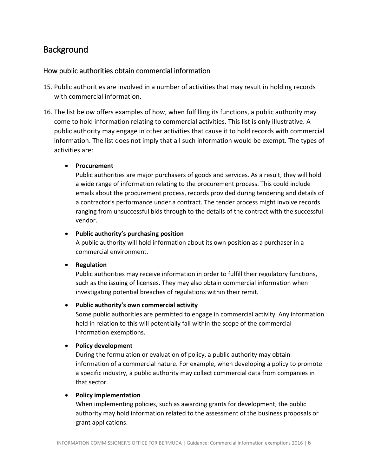# <span id="page-5-0"></span>Background

# <span id="page-5-1"></span>How public authorities obtain commercial information

- 15. Public authorities are involved in a number of activities that may result in holding records with commercial information.
- 16. The list below offers examples of how, when fulfilling its functions, a public authority may come to hold information relating to commercial activities. This list is only illustrative. A public authority may engage in other activities that cause it to hold records with commercial information. The list does not imply that all such information would be exempt. The types of activities are:

#### **•** Procurement

Public authorities are major purchasers of goods and services. As a result, they will hold a wide range of information relating to the procurement process. This could include emails about the procurement process, records provided during tendering and details of a contractor's performance under a contract. The tender process might involve records ranging from unsuccessful bids through to the details of the contract with the successful vendor.

#### **Public authority's purchasing position**

A public authority will hold information about its own position as a purchaser in a commercial environment.

#### **•** Regulation

Public authorities may receive information in order to fulfill their regulatory functions, such as the issuing of licenses. They may also obtain commercial information when investigating potential breaches of regulations within their remit.

#### **Public authority's own commercial activity**

Some public authorities are permitted to engage in commercial activity. Any information held in relation to this will potentially fall within the scope of the commercial information exemptions.

#### **Policy development**

During the formulation or evaluation of policy, a public authority may obtain information of a commercial nature. For example, when developing a policy to promote a specific industry, a public authority may collect commercial data from companies in that sector.

#### **Policy implementation**

When implementing policies, such as awarding grants for development, the public authority may hold information related to the assessment of the business proposals or grant applications.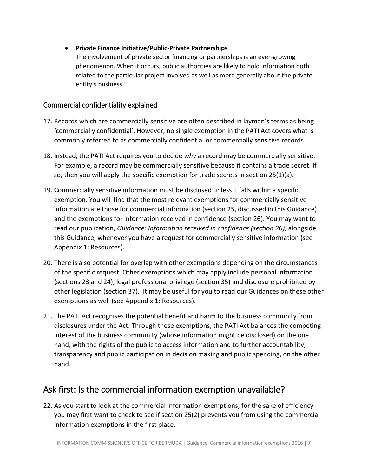# **Private Finance Initiative/Public-Private Partnerships**

The involvement of private sector financing or partnerships is an ever-growing phenomenon. When it occurs, public authorities are likely to hold information both related to the particular project involved as well as more generally about the private entity's business.

# <span id="page-6-0"></span>Commercial confidentiality explained

- 17. Records which are commercially sensitive are often described in layman's terms as being 'commercially confidential'. However, no single exemption in the PATI Act covers what is commonly referred to as commercially confidential or commercially sensitive records.
- 18. Instead, the PATI Act requires you to decide *why* a record may be commercially sensitive. For example, a record may be commercially sensitive because it contains a trade secret. If so, then you will apply the specific exemption for trade secrets in section 25(1)(a).
- 19. Commercially sensitive information must be disclosed unless it falls within a specific exemption. You will find that the most relevant exemptions for commercially sensitive information are those for commercial information (section 25, discussed in this Guidance) and the exemptions for information received in confidence (section 26). You may want to read our publication, *Guidance: Information received in confidence (section 26)*, alongside this Guidance, whenever you have a request for commercially sensitive information (see Appendix 1: Resources).
- 20. There is also potential for overlap with other exemptions depending on the circumstances of the specific request. Other exemptions which may apply include personal information (sections 23 and 24), legal professional privilege (section 35) and disclosure prohibited by other legislation (section 37). It may be useful for you to read our Guidances on these other exemptions as well (see Appendix 1: Resources).
- 21. The PATI Act recognises the potential benefit and harm to the business community from disclosures under the Act. Through these exemptions, the PATI Act balances the competing interest of the business community (whose information might be disclosed) on the one hand, with the rights of the public to access information and to further accountability, transparency and public participation in decision making and public spending, on the other hand.

# <span id="page-6-1"></span>Ask first: Is the commercial information exemption unavailable?

22. As you start to look at the commercial information exemptions, for the sake of efficiency you may first want to check to see if section 25(2) prevents you from using the commercial information exemptions in the first place.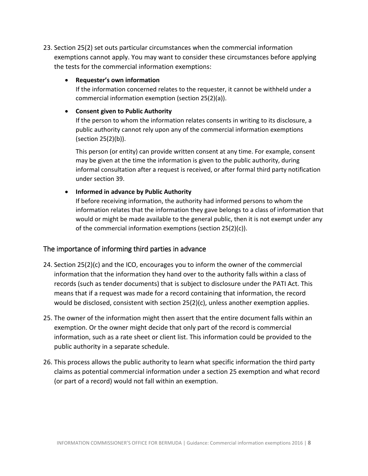23. Section 25(2) set outs particular circumstances when the commercial information exemptions cannot apply. You may want to consider these circumstances before applying the tests for the commercial information exemptions:

#### **Requester's own information**

If the information concerned relates to the requester, it cannot be withheld under a commercial information exemption (section 25(2)(a)).

### **Consent given to Public Authority**

If the person to whom the information relates consents in writing to its disclosure, a public authority cannot rely upon any of the commercial information exemptions (section 25(2)(b)).

This person (or entity) can provide written consent at any time. For example, consent may be given at the time the information is given to the public authority, during informal consultation after a request is received, or after formal third party notification under section 39.

# **Informed in advance by Public Authority**

If before receiving information, the authority had informed persons to whom the information relates that the information they gave belongs to a class of information that would or might be made available to the general public, then it is not exempt under any of the commercial information exemptions (section 25(2)(c)).

# The importance of informing third parties in advance

- 24. Section  $25(2)(c)$  and the ICO, encourages you to inform the owner of the commercial information that the information they hand over to the authority falls within a class of records (such as tender documents) that is subject to disclosure under the PATI Act. This means that if a request was made for a record containing that information, the record would be disclosed, consistent with section 25(2)(c), unless another exemption applies.
- 25. The owner of the information might then assert that the entire document falls within an exemption. Or the owner might decide that only part of the record is commercial information, such as a rate sheet or client list. This information could be provided to the public authority in a separate schedule.
- 26. This process allows the public authority to learn what specific information the third party claims as potential commercial information under a section 25 exemption and what record (or part of a record) would not fall within an exemption.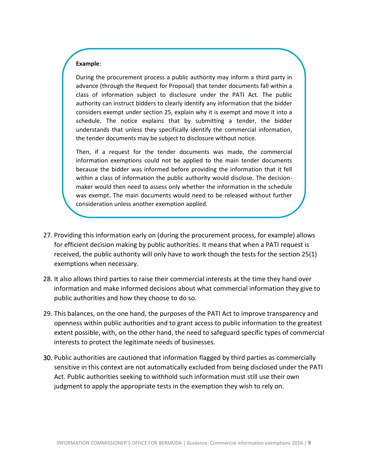#### **Example**:

During the procurement process a public authority may inform a third party in advance (through the Request for Proposal) that tender documents fall within a class of information subject to disclosure under the PATI Act. The public authority can instruct bidders to clearly identify any information that the bidder considers exempt under section 25, explain why it is exempt and move it into a schedule. The notice explains that by submitting a tender, the bidder understands that unless they specifically identify the commercial information, the tender documents may be subject to disclosure without notice.

Then, if a request for the tender documents was made, the commercial information exemptions could not be applied to the main tender documents because the bidder was informed before providing the information that it fell within a class of information the public authority would disclose. The decisionmaker would then need to assess only whether the information in the schedule was exempt. The main documents would need to be released without further consideration unless another exemption applied.

- 27. Providing this information early on (during the procurement process, for example) allows for efficient decision making by public authorities. It means that when a PATI request is received, the public authority will only have to work though the tests for the section 25(1) exemptions when necessary.
- 28. It also allows third parties to raise their commercial interests at the time they hand over information and make informed decisions about what commercial information they give to public authorities and how they choose to do so.
- 29. This balances, on the one hand, the purposes of the PATI Act to improve transparency and openness within public authorities and to grant access to public information to the greatest extent possible, with, on the other hand, the need to safeguard specific types of commercial interests to protect the legitimate needs of businesses.
- 30. Public authorities are cautioned that information flagged by third parties as commercially sensitive in this context are not automatically excluded from being disclosed under the PATI Act. Public authorities seeking to withhold such information must still use their own judgment to apply the appropriate tests in the exemption they wish to rely on.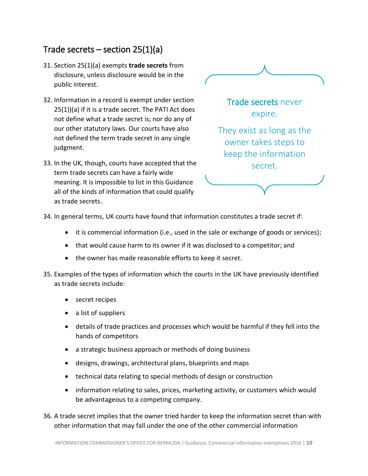# <span id="page-9-0"></span>Trade secrets – section 25(1)(a)

- 31. Section 25(1)(a) exempts **trade secrets** from disclosure, unless disclosure would be in the public interest.
- 32. Information in a record is exempt under section 25(1))(a) if it is a trade secret. The PATI Act does not define what a trade secret is; nor do any of our other statutory laws. Our courts have also not defined the term trade secret in any single judgment.
- 33. In the UK, though, courts have accepted that the term trade secrets can have a fairly wide meaning. It is impossible to list in this Guidance all of the kinds of information that could qualify as trade secrets.



They exist as long as the owner takes steps to keep the information secret.

34. In general terms, UK courts have found that information constitutes a trade secret if:

- it is commercial information (i.e., used in the sale or exchange of goods or services);
- that would cause harm to its owner if it was disclosed to a competitor; and
- the owner has made reasonable efforts to keep it secret.
- 35. Examples of the types of information which the courts in the UK have previously identified as trade secrets include:
	- secret recipes
	- a list of suppliers
	- details of trade practices and processes which would be harmful if they fell into the hands of competitors
	- a strategic business approach or methods of doing business
	- designs, drawings, architectural plans, blueprints and maps
	- technical data relating to special methods of design or construction
	- information relating to sales, prices, marketing activity, or customers which would be advantageous to a competing company.

36. A trade secret implies that the owner tried harder to keep the information secret than with other information that may fall under the one of the other commercial information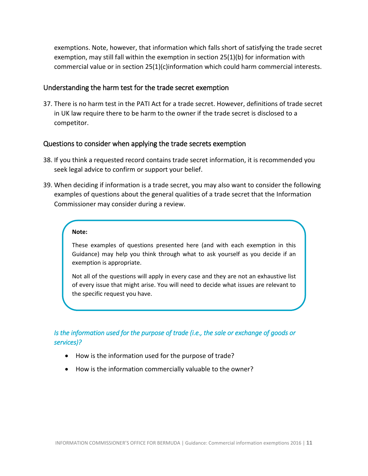exemptions. Note, however, that information which falls short of satisfying the trade secret exemption, may still fall within the exemption in section 25(1)(b) for information with commercial value or in section 25(1)(c)information which could harm commercial interests.

#### <span id="page-10-0"></span>Understanding the harm test for the trade secret exemption

37. There is no harm test in the PATI Act for a trade secret. However, definitions of trade secret in UK law require there to be harm to the owner if the trade secret is disclosed to a competitor.

#### <span id="page-10-1"></span>Questions to consider when applying the trade secrets exemption

- 38. If you think a requested record contains trade secret information, it is recommended you seek legal advice to confirm or support your belief.
- 39. When deciding if information is a trade secret, you may also want to consider the following examples of questions about the general qualities of a trade secret that the Information Commissioner may consider during a review.

#### **Note:**

These examples of questions presented here (and with each exemption in this Guidance) may help you think through what to ask yourself as you decide if an exemption is appropriate.

Not all of the questions will apply in every case and they are not an exhaustive list of every issue that might arise. You will need to decide what issues are relevant to the specific request you have.

# *Is the information used for the purpose of trade (i.e., the sale or exchange of goods or services)?*

- How is the information used for the purpose of trade?
- How is the information commercially valuable to the owner?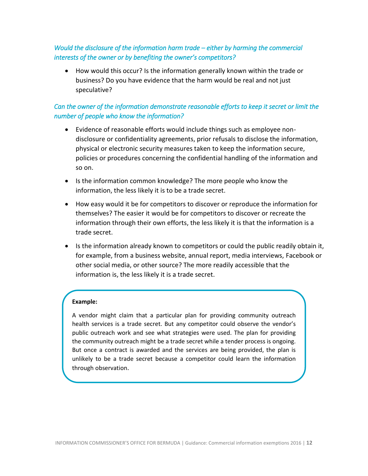# *Would the disclosure of the information harm trade – either by harming the commercial interests of the owner or by benefiting the owner's competitors?*

 How would this occur? Is the information generally known within the trade or business? Do you have evidence that the harm would be real and not just speculative?

# *Can the owner of the information demonstrate reasonable efforts to keep it secret or limit the number of people who know the information?*

- Evidence of reasonable efforts would include things such as employee nondisclosure or confidentiality agreements, prior refusals to disclose the information, physical or electronic security measures taken to keep the information secure, policies or procedures concerning the confidential handling of the information and so on.
- Is the information common knowledge? The more people who know the information, the less likely it is to be a trade secret.
- How easy would it be for competitors to discover or reproduce the information for themselves? The easier it would be for competitors to discover or recreate the information through their own efforts, the less likely it is that the information is a trade secret.
- Is the information already known to competitors or could the public readily obtain it, for example, from a business website, annual report, media interviews, Facebook or other social media, or other source? The more readily accessible that the information is, the less likely it is a trade secret.

#### **Example:**

A vendor might claim that a particular plan for providing community outreach health services is a trade secret. But any competitor could observe the vendor's public outreach work and see what strategies were used. The plan for providing the community outreach might be a trade secret while a tender process is ongoing. But once a contract is awarded and the services are being provided, the plan is unlikely to be a trade secret because a competitor could learn the information through observation.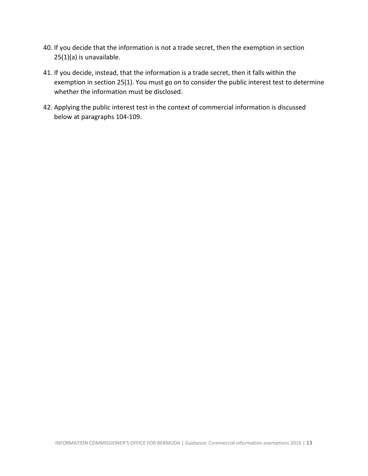- 40. If you decide that the information is not a trade secret, then the exemption in section 25(1)(a) is unavailable.
- 41. If you decide, instead, that the information is a trade secret, then it falls within the exemption in section 25(1). You must go on to consider the public interest test to determine whether the information must be disclosed.
- 42. Applying the public interest test in the context of commercial information is discussed below at paragraphs 104-109.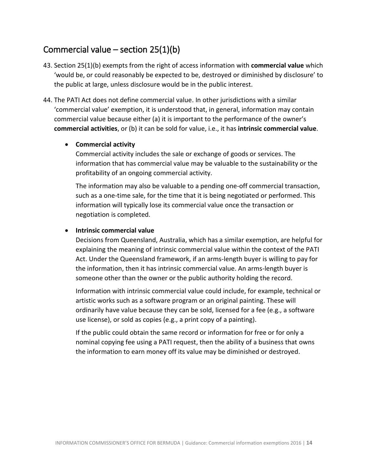# <span id="page-13-0"></span>Commercial value – section  $25(1)(b)$

- 43. Section 25(1)(b) exempts from the right of access information with **commercial value** which 'would be, or could reasonably be expected to be, destroyed or diminished by disclosure' to the public at large, unless disclosure would be in the public interest.
- 44. The PATI Act does not define commercial value. In other jurisdictions with a similar 'commercial value' exemption, it is understood that, in general, information may contain commercial value because either (a) it is important to the performance of the owner's **commercial activities**, or (b) it can be sold for value, i.e., it has **intrinsic commercial value**.

#### **Commercial activity**

Commercial activity includes the sale or exchange of goods or services. The information that has commercial value may be valuable to the sustainability or the profitability of an ongoing commercial activity.

The information may also be valuable to a pending one-off commercial transaction, such as a one-time sale, for the time that it is being negotiated or performed. This information will typically lose its commercial value once the transaction or negotiation is completed.

#### **Intrinsic commercial value**

Decisions from Queensland, Australia, which has a similar exemption, are helpful for explaining the meaning of intrinsic commercial value within the context of the PATI Act. Under the Queensland framework, if an arms-length buyer is willing to pay for the information, then it has intrinsic commercial value. An arms-length buyer is someone other than the owner or the public authority holding the record.

Information with intrinsic commercial value could include, for example, technical or artistic works such as a software program or an original painting. These will ordinarily have value because they can be sold, licensed for a fee (e.g., a software use license), or sold as copies (e.g., a print copy of a painting).

If the public could obtain the same record or information for free or for only a nominal copying fee using a PATI request, then the ability of a business that owns the information to earn money off its value may be diminished or destroyed.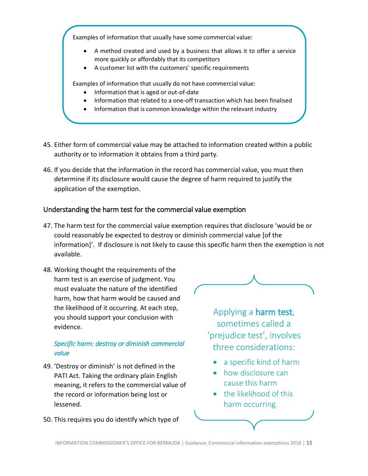Examples of information that usually have some commercial value:

- A method created and used by a business that allows it to offer a service more quickly or affordably that its competitors
- A customer list with the customers' specific requirements

Examples of information that usually do not have commercial value:

- Information that is aged or out-of-date
- Information that related to a one-off transaction which has been finalised
- Information that is common knowledge within the relevant industry
- 45. Either form of commercial value may be attached to information created within a public authority or to information it obtains from a third party.
- 46. If you decide that the information in the record has commercial value, you must then determine if its disclosure would cause the degree of harm required to justify the application of the exemption.

# <span id="page-14-0"></span>Understanding the harm test for the commercial value exemption

- 47. The harm test for the commercial value exemption requires that disclosure 'would be or could reasonably be expected to destroy or diminish commercial value [of the information]'. If disclosure is not likely to cause this specific harm then the exemption is not available.
- 48. Working thought the requirements of the harm test is an exercise of judgment. You must evaluate the nature of the identified harm, how that harm would be caused and the likelihood of it occurring. At each step, you should support your conclusion with evidence.

# *Specific harm: destroy or diminish commercial value*

- 49. 'Destroy or diminish' is not defined in the PATI Act. Taking the ordinary plain English meaning, it refers to the commercial value of the record or information being lost or lessened.
- 50. This requires you do identify which type of



Applying a harm test, sometimes called a 'prejudice test', involves three considerations:

- a specific kind of harm
- how disclosure can cause this harm
- the likelihood of this harm occurring.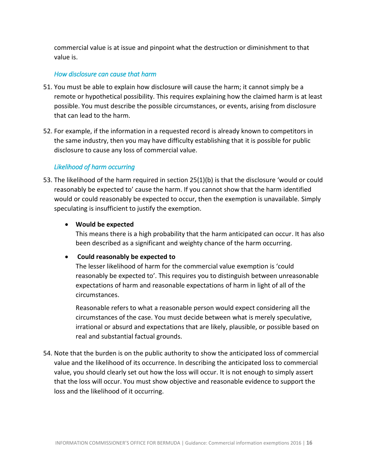commercial value is at issue and pinpoint what the destruction or diminishment to that value is.

### *How disclosure can cause that harm*

- 51. You must be able to explain how disclosure will cause the harm; it cannot simply be a remote or hypothetical possibility. This requires explaining how the claimed harm is at least possible. You must describe the possible circumstances, or events, arising from disclosure that can lead to the harm.
- 52. For example, if the information in a requested record is already known to competitors in the same industry, then you may have difficulty establishing that it is possible for public disclosure to cause any loss of commercial value.

# *Likelihood of harm occurring*

53. The likelihood of the harm required in section 25(1)(b) is that the disclosure 'would or could reasonably be expected to' cause the harm. If you cannot show that the harm identified would or could reasonably be expected to occur, then the exemption is unavailable. Simply speculating is insufficient to justify the exemption.

# **Would be expected**

This means there is a high probability that the harm anticipated can occur. It has also been described as a significant and weighty chance of the harm occurring.

# **Could reasonably be expected to**

The lesser likelihood of harm for the commercial value exemption is 'could reasonably be expected to'. This requires you to distinguish between unreasonable expectations of harm and reasonable expectations of harm in light of all of the circumstances.

Reasonable refers to what a reasonable person would expect considering all the circumstances of the case. You must decide between what is merely speculative, irrational or absurd and expectations that are likely, plausible, or possible based on real and substantial factual grounds.

54. Note that the burden is on the public authority to show the anticipated loss of commercial value and the likelihood of its occurrence. In describing the anticipated loss to commercial value, you should clearly set out how the loss will occur. It is not enough to simply assert that the loss will occur. You must show objective and reasonable evidence to support the loss and the likelihood of it occurring.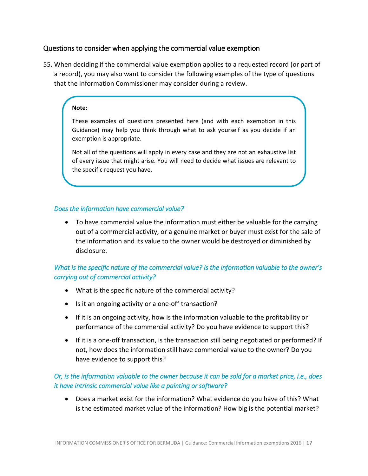# <span id="page-16-0"></span>Questions to consider when applying the commercial value exemption

55. When deciding if the commercial value exemption applies to a requested record (or part of a record), you may also want to consider the following examples of the type of questions that the Information Commissioner may consider during a review.

#### **Note:**

These examples of questions presented here (and with each exemption in this Guidance) may help you think through what to ask yourself as you decide if an exemption is appropriate.

Not all of the questions will apply in every case and they are not an exhaustive list of every issue that might arise. You will need to decide what issues are relevant to the specific request you have.

### *Does the information have commercial value?*

 To have commercial value the information must either be valuable for the carrying out of a commercial activity, or a genuine market or buyer must exist for the sale of the information and its value to the owner would be destroyed or diminished by disclosure.

# *What is the specific nature of the commercial value? Is the information valuable to the owner's carrying out of commercial activity?*

- What is the specific nature of the commercial activity?
- Is it an ongoing activity or a one-off transaction?
- If it is an ongoing activity, how is the information valuable to the profitability or performance of the commercial activity? Do you have evidence to support this?
- If it is a one-off transaction, is the transaction still being negotiated or performed? If not, how does the information still have commercial value to the owner? Do you have evidence to support this?

# *Or, is the information valuable to the owner because it can be sold for a market price, i.e., does it have intrinsic commercial value like a painting or software?*

 Does a market exist for the information? What evidence do you have of this? What is the estimated market value of the information? How big is the potential market?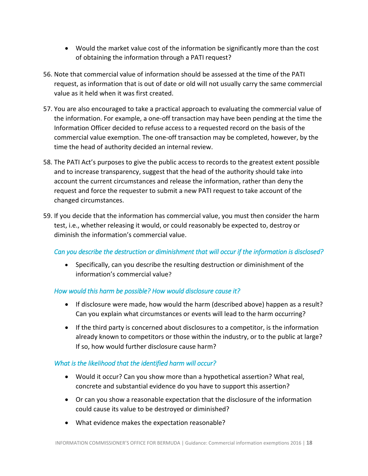- Would the market value cost of the information be significantly more than the cost of obtaining the information through a PATI request?
- 56. Note that commercial value of information should be assessed at the time of the PATI request, as information that is out of date or old will not usually carry the same commercial value as it held when it was first created.
- 57. You are also encouraged to take a practical approach to evaluating the commercial value of the information. For example, a one-off transaction may have been pending at the time the Information Officer decided to refuse access to a requested record on the basis of the commercial value exemption. The one-off transaction may be completed, however, by the time the head of authority decided an internal review.
- 58. The PATI Act's purposes to give the public access to records to the greatest extent possible and to increase transparency, suggest that the head of the authority should take into account the current circumstances and release the information, rather than deny the request and force the requester to submit a new PATI request to take account of the changed circumstances.
- 59. If you decide that the information has commercial value, you must then consider the harm test, i.e., whether releasing it would, or could reasonably be expected to, destroy or diminish the information's commercial value.

# *Can you describe the destruction or diminishment that will occur if the information is disclosed?*

 Specifically, can you describe the resulting destruction or diminishment of the information's commercial value?

#### *How would this harm be possible? How would disclosure cause it?*

- If disclosure were made, how would the harm (described above) happen as a result? Can you explain what circumstances or events will lead to the harm occurring?
- If the third party is concerned about disclosures to a competitor, is the information already known to competitors or those within the industry, or to the public at large? If so, how would further disclosure cause harm?

# *What is the likelihood that the identified harm will occur?*

- Would it occur? Can you show more than a hypothetical assertion? What real, concrete and substantial evidence do you have to support this assertion?
- Or can you show a reasonable expectation that the disclosure of the information could cause its value to be destroyed or diminished?
- What evidence makes the expectation reasonable?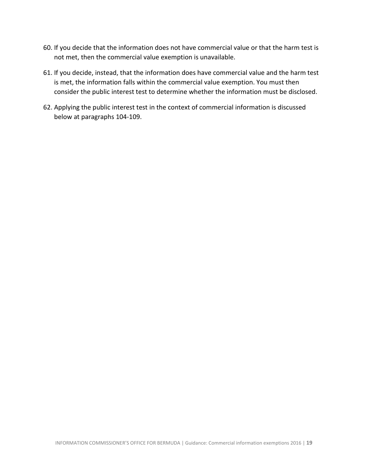- 60. If you decide that the information does not have commercial value or that the harm test is not met, then the commercial value exemption is unavailable.
- 61. If you decide, instead, that the information does have commercial value and the harm test is met, the information falls within the commercial value exemption. You must then consider the public interest test to determine whether the information must be disclosed.
- 62. Applying the public interest test in the context of commercial information is discussed below at paragraphs 104-109.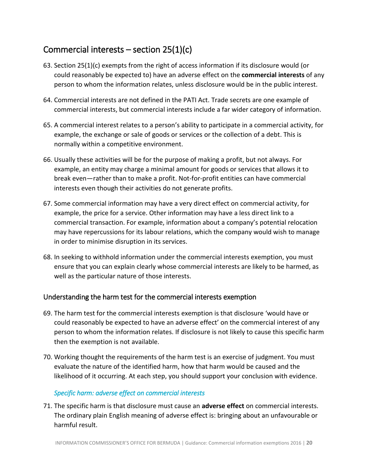# <span id="page-19-0"></span>Commercial interests – section 25(1)(c)

- 63. Section 25(1)(c) exempts from the right of access information if its disclosure would (or could reasonably be expected to) have an adverse effect on the **commercial interests** of any person to whom the information relates, unless disclosure would be in the public interest.
- 64. Commercial interests are not defined in the PATI Act. Trade secrets are one example of commercial interests, but commercial interests include a far wider category of information.
- 65. A commercial interest relates to a person's ability to participate in a commercial activity, for example, the exchange or sale of goods or services or the collection of a debt. This is normally within a competitive environment.
- 66. Usually these activities will be for the purpose of making a profit, but not always. For example, an entity may charge a minimal amount for goods or services that allows it to break even—rather than to make a profit. Not-for-profit entities can have commercial interests even though their activities do not generate profits.
- 67. Some commercial information may have a very direct effect on commercial activity, for example, the price for a service. Other information may have a less direct link to a commercial transaction. For example, information about a company's potential relocation may have repercussions for its labour relations, which the company would wish to manage in order to minimise disruption in its services.
- 68. In seeking to withhold information under the commercial interests exemption, you must ensure that you can explain clearly whose commercial interests are likely to be harmed, as well as the particular nature of those interests.

# <span id="page-19-1"></span>Understanding the harm test for the commercial interests exemption

- 69. The harm test for the commercial interests exemption is that disclosure 'would have or could reasonably be expected to have an adverse effect' on the commercial interest of any person to whom the information relates. If disclosure is not likely to cause this specific harm then the exemption is not available.
- 70. Working thought the requirements of the harm test is an exercise of judgment. You must evaluate the nature of the identified harm, how that harm would be caused and the likelihood of it occurring. At each step, you should support your conclusion with evidence.

# *Specific harm: adverse effect on commercial interests*

71. The specific harm is that disclosure must cause an **adverse effect** on commercial interests. The ordinary plain English meaning of adverse effect is: bringing about an unfavourable or harmful result.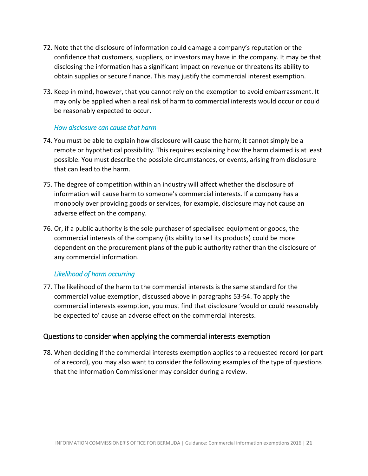- 72. Note that the disclosure of information could damage a company's reputation or the confidence that customers, suppliers, or investors may have in the company. It may be that disclosing the information has a significant impact on revenue or threatens its ability to obtain supplies or secure finance. This may justify the commercial interest exemption.
- 73. Keep in mind, however, that you cannot rely on the exemption to avoid embarrassment. It may only be applied when a real risk of harm to commercial interests would occur or could be reasonably expected to occur.

#### *How disclosure can cause that harm*

- 74. You must be able to explain how disclosure will cause the harm; it cannot simply be a remote or hypothetical possibility. This requires explaining how the harm claimed is at least possible. You must describe the possible circumstances, or events, arising from disclosure that can lead to the harm.
- 75. The degree of competition within an industry will affect whether the disclosure of information will cause harm to someone's commercial interests. If a company has a monopoly over providing goods or services, for example, disclosure may not cause an adverse effect on the company.
- 76. Or, if a public authority is the sole purchaser of specialised equipment or goods, the commercial interests of the company (its ability to sell its products) could be more dependent on the procurement plans of the public authority rather than the disclosure of any commercial information.

# *Likelihood of harm occurring*

77. The likelihood of the harm to the commercial interests is the same standard for the commercial value exemption, discussed above in paragraphs 53-54. To apply the commercial interests exemption, you must find that disclosure 'would or could reasonably be expected to' cause an adverse effect on the commercial interests.

# <span id="page-20-0"></span>Questions to consider when applying the commercial interests exemption

78. When deciding if the commercial interests exemption applies to a requested record (or part of a record), you may also want to consider the following examples of the type of questions that the Information Commissioner may consider during a review.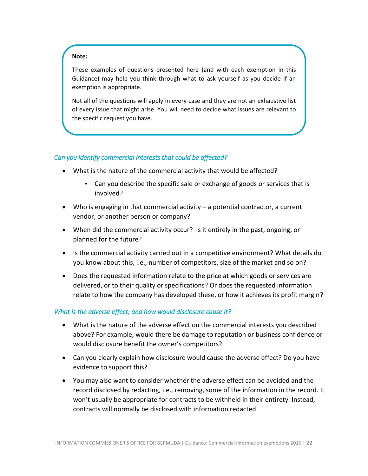#### **Note:**

These examples of questions presented here (and with each exemption in this Guidance) may help you think through what to ask yourself as you decide if an exemption is appropriate.

Not all of the questions will apply in every case and they are not an exhaustive list of every issue that might arise. You will need to decide what issues are relevant to the specific request you have.

#### *Can you identify commercial interests that could be affected?*

- What is the nature of the commercial activity that would be affected?
	- Can you describe the specific sale or exchange of goods or services that is involved?
- Who is engaging in that commercial activity a potential contractor, a current vendor, or another person or company?
- When did the commercial activity occur? Is it entirely in the past, ongoing, or planned for the future?
- Is the commercial activity carried out in a competitive environment? What details do you know about this, i.e., number of competitors, size of the market and so on?
- Does the requested information relate to the price at which goods or services are delivered, or to their quality or specifications? Or does the requested information relate to how the company has developed these, or how it achieves its profit margin?

#### *What is the adverse effect; and how would disclosure cause it?*

- What is the nature of the adverse effect on the commercial interests you described above? For example, would there be damage to reputation or business confidence or would disclosure benefit the owner's competitors?
- Can you clearly explain how disclosure would cause the adverse effect? Do you have evidence to support this?
- You may also want to consider whether the adverse effect can be avoided and the record disclosed by redacting, i.e., removing, some of the information in the record. It won't usually be appropriate for contracts to be withheld in their entirety. Instead, contracts will normally be disclosed with information redacted.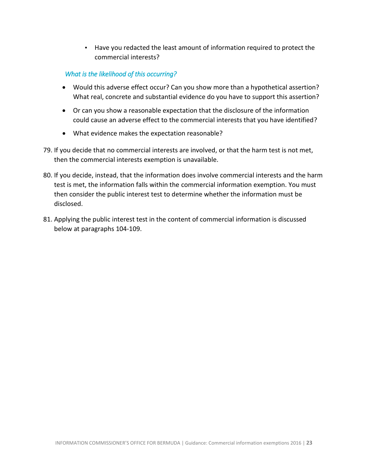• Have you redacted the least amount of information required to protect the commercial interests?

# *What is the likelihood of this occurring?*

- Would this adverse effect occur? Can you show more than a hypothetical assertion? What real, concrete and substantial evidence do you have to support this assertion?
- Or can you show a reasonable expectation that the disclosure of the information could cause an adverse effect to the commercial interests that you have identified?
- What evidence makes the expectation reasonable?
- 79. If you decide that no commercial interests are involved, or that the harm test is not met, then the commercial interests exemption is unavailable.
- 80. If you decide, instead, that the information does involve commercial interests and the harm test is met, the information falls within the commercial information exemption. You must then consider the public interest test to determine whether the information must be disclosed.
- 81. Applying the public interest test in the content of commercial information is discussed below at paragraphs 104-109.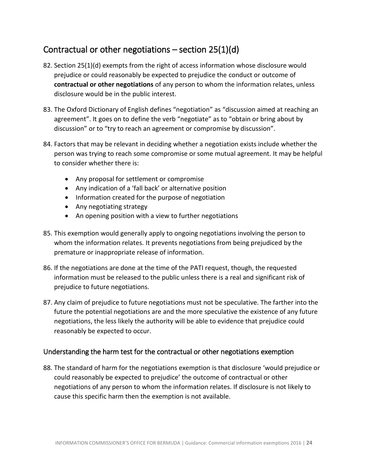# <span id="page-23-0"></span>Contractual or other negotiations  $-$  section 25(1)(d)

- 82. Section 25(1)(d) exempts from the right of access information whose disclosure would prejudice or could reasonably be expected to prejudice the conduct or outcome of **contractual or other negotiations** of any person to whom the information relates, unless disclosure would be in the public interest.
- 83. The Oxford Dictionary of English defines "negotiation" as "discussion aimed at reaching an agreement". It goes on to define the verb "negotiate" as to "obtain or bring about by discussion" or to "try to reach an agreement or compromise by discussion".
- 84. Factors that may be relevant in deciding whether a negotiation exists include whether the person was trying to reach some compromise or some mutual agreement. It may be helpful to consider whether there is:
	- Any proposal for settlement or compromise
	- Any indication of a 'fall back' or alternative position
	- Information created for the purpose of negotiation
	- Any negotiating strategy
	- An opening position with a view to further negotiations
- 85. This exemption would generally apply to ongoing negotiations involving the person to whom the information relates. It prevents negotiations from being prejudiced by the premature or inappropriate release of information.
- 86. If the negotiations are done at the time of the PATI request, though, the requested information must be released to the public unless there is a real and significant risk of prejudice to future negotiations.
- 87. Any claim of prejudice to future negotiations must not be speculative. The farther into the future the potential negotiations are and the more speculative the existence of any future negotiations, the less likely the authority will be able to evidence that prejudice could reasonably be expected to occur.

# <span id="page-23-1"></span>Understanding the harm test for the contractual or other negotiations exemption

88. The standard of harm for the negotiations exemption is that disclosure 'would prejudice or could reasonably be expected to prejudice' the outcome of contractual or other negotiations of any person to whom the information relates. If disclosure is not likely to cause this specific harm then the exemption is not available.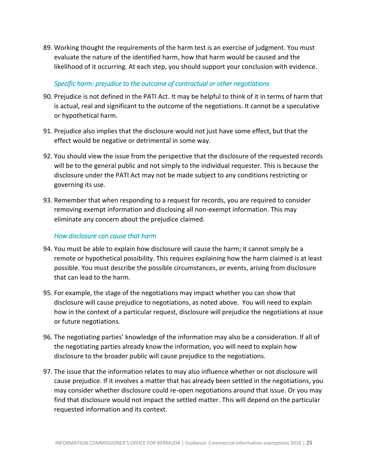89. Working thought the requirements of the harm test is an exercise of judgment. You must evaluate the nature of the identified harm, how that harm would be caused and the likelihood of it occurring. At each step, you should support your conclusion with evidence.

### *Specific harm: prejudice to the outcome of contractual or other negotiations*

- 90. Prejudice is not defined in the PATI Act. It may be helpful to think of it in terms of harm that is actual, real and significant to the outcome of the negotiations. It cannot be a speculative or hypothetical harm.
- 91. Prejudice also implies that the disclosure would not just have some effect, but that the effect would be negative or detrimental in some way.
- 92. You should view the issue from the perspective that the disclosure of the requested records will be to the general public and not simply to the individual requester. This is because the disclosure under the PATI Act may not be made subject to any conditions restricting or governing its use.
- 93. Remember that when responding to a request for records, you are required to consider removing exempt information and disclosing all non-exempt information. This may eliminate any concern about the prejudice claimed.

### *How disclosure can cause that harm*

- 94. You must be able to explain how disclosure will cause the harm; it cannot simply be a remote or hypothetical possibility. This requires explaining how the harm claimed is at least possible. You must describe the possible circumstances, or events, arising from disclosure that can lead to the harm.
- 95. For example, the stage of the negotiations may impact whether you can show that disclosure will cause prejudice to negotiations, as noted above. You will need to explain how in the context of a particular request, disclosure will prejudice the negotiations at issue or future negotiations.
- 96. The negotiating parties' knowledge of the information may also be a consideration. If all of the negotiating parties already know the information, you will need to explain how disclosure to the broader public will cause prejudice to the negotiations.
- 97. The issue that the information relates to may also influence whether or not disclosure will cause prejudice. If it involves a matter that has already been settled in the negotiations, you may consider whether disclosure could re-open negotiations around that issue. Or you may find that disclosure would not impact the settled matter. This will depend on the particular requested information and its context.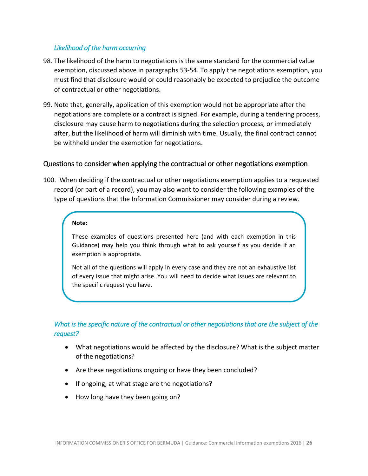#### *Likelihood of the harm occurring*

- 98. The likelihood of the harm to negotiations is the same standard for the commercial value exemption, discussed above in paragraphs 53-54. To apply the negotiations exemption, you must find that disclosure would or could reasonably be expected to prejudice the outcome of contractual or other negotiations.
- 99. Note that, generally, application of this exemption would not be appropriate after the negotiations are complete or a contract is signed. For example, during a tendering process, disclosure may cause harm to negotiations during the selection process, or immediately after, but the likelihood of harm will diminish with time. Usually, the final contract cannot be withheld under the exemption for negotiations.

### <span id="page-25-0"></span>Questions to consider when applying the contractual or other negotiations exemption

100. When deciding if the contractual or other negotiations exemption applies to a requested record (or part of a record), you may also want to consider the following examples of the type of questions that the Information Commissioner may consider during a review.

#### **Note:**

These examples of questions presented here (and with each exemption in this Guidance) may help you think through what to ask yourself as you decide if an exemption is appropriate.

Not all of the questions will apply in every case and they are not an exhaustive list of every issue that might arise. You will need to decide what issues are relevant to the specific request you have.

# *What is the specific nature of the contractual or other negotiations that are the subject of the request?*

- What negotiations would be affected by the disclosure? What is the subject matter of the negotiations?
- Are these negotiations ongoing or have they been concluded?
- If ongoing, at what stage are the negotiations?
- How long have they been going on?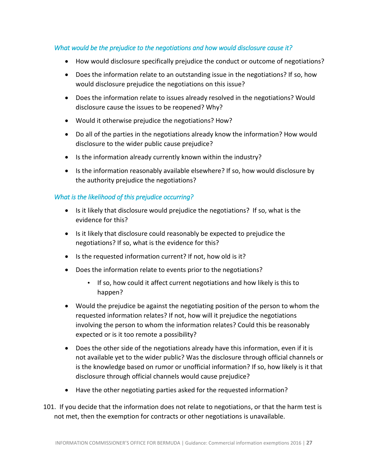# *What would be the prejudice to the negotiations and how would disclosure cause it?*

- How would disclosure specifically prejudice the conduct or outcome of negotiations?
- Does the information relate to an outstanding issue in the negotiations? If so, how would disclosure prejudice the negotiations on this issue?
- Does the information relate to issues already resolved in the negotiations? Would disclosure cause the issues to be reopened? Why?
- Would it otherwise prejudice the negotiations? How?
- Do all of the parties in the negotiations already know the information? How would disclosure to the wider public cause prejudice?
- Is the information already currently known within the industry?
- Is the information reasonably available elsewhere? If so, how would disclosure by the authority prejudice the negotiations?

# *What is the likelihood of this prejudice occurring?*

- Is it likely that disclosure would prejudice the negotiations? If so, what is the evidence for this?
- Is it likely that disclosure could reasonably be expected to prejudice the negotiations? If so, what is the evidence for this?
- Is the requested information current? If not, how old is it?
- Does the information relate to events prior to the negotiations?
	- If so, how could it affect current negotiations and how likely is this to happen?
- Would the prejudice be against the negotiating position of the person to whom the requested information relates? If not, how will it prejudice the negotiations involving the person to whom the information relates? Could this be reasonably expected or is it too remote a possibility?
- Does the other side of the negotiations already have this information, even if it is not available yet to the wider public? Was the disclosure through official channels or is the knowledge based on rumor or unofficial information? If so, how likely is it that disclosure through official channels would cause prejudice?
- Have the other negotiating parties asked for the requested information?
- 101. If you decide that the information does not relate to negotiations, or that the harm test is not met, then the exemption for contracts or other negotiations is unavailable.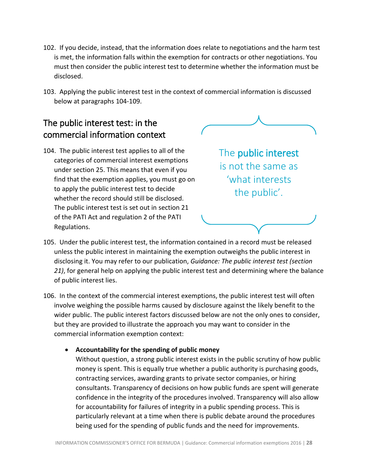- 102. If you decide, instead, that the information does relate to negotiations and the harm test is met, the information falls within the exemption for contracts or other negotiations. You must then consider the public interest test to determine whether the information must be disclosed.
- 103. Applying the public interest test in the context of commercial information is discussed below at paragraphs 104-109.

# <span id="page-27-0"></span>The public interest test: in the commercial information context

104. The public interest test applies to all of the categories of commercial interest exemptions under section 25. This means that even if you find that the exemption applies, you must go on to apply the public interest test to decide whether the record should still be disclosed. The public interest test is set out in section 21 of the PATI Act and regulation 2 of the PATI Regulations.



The public interest is not the same as 'what interests the public'.

- 105. Under the public interest test, the information contained in a record must be released unless the public interest in maintaining the exemption outweighs the public interest in disclosing it. You may refer to our publication, *Guidance: The public interest test (section 21)*, for general help on applying the public interest test and determining where the balance of public interest lies.
- 106. In the context of the commercial interest exemptions, the public interest test will often involve weighing the possible harms caused by disclosure against the likely benefit to the wider public. The public interest factors discussed below are not the only ones to consider, but they are provided to illustrate the approach you may want to consider in the commercial information exemption context:
	- **Accountability for the spending of public money**

Without question, a strong public interest exists in the public scrutiny of how public money is spent. This is equally true whether a public authority is purchasing goods, contracting services, awarding grants to private sector companies, or hiring consultants. Transparency of decisions on how public funds are spent will generate confidence in the integrity of the procedures involved. Transparency will also allow for accountability for failures of integrity in a public spending process. This is particularly relevant at a time when there is public debate around the procedures being used for the spending of public funds and the need for improvements.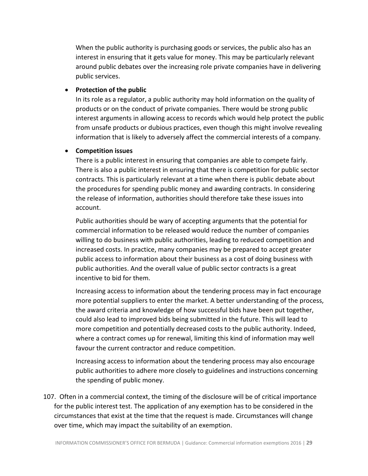When the public authority is purchasing goods or services, the public also has an interest in ensuring that it gets value for money. This may be particularly relevant around public debates over the increasing role private companies have in delivering public services.

#### **Protection of the public**

In its role as a regulator, a public authority may hold information on the quality of products or on the conduct of private companies. There would be strong public interest arguments in allowing access to records which would help protect the public from unsafe products or dubious practices, even though this might involve revealing information that is likely to adversely affect the commercial interests of a company.

#### **Competition issues**

There is a public interest in ensuring that companies are able to compete fairly. There is also a public interest in ensuring that there is competition for public sector contracts. This is particularly relevant at a time when there is public debate about the procedures for spending public money and awarding contracts. In considering the release of information, authorities should therefore take these issues into account.

Public authorities should be wary of accepting arguments that the potential for commercial information to be released would reduce the number of companies willing to do business with public authorities, leading to reduced competition and increased costs. In practice, many companies may be prepared to accept greater public access to information about their business as a cost of doing business with public authorities. And the overall value of public sector contracts is a great incentive to bid for them.

Increasing access to information about the tendering process may in fact encourage more potential suppliers to enter the market. A better understanding of the process, the award criteria and knowledge of how successful bids have been put together, could also lead to improved bids being submitted in the future. This will lead to more competition and potentially decreased costs to the public authority. Indeed, where a contract comes up for renewal, limiting this kind of information may well favour the current contractor and reduce competition.

Increasing access to information about the tendering process may also encourage public authorities to adhere more closely to guidelines and instructions concerning the spending of public money.

107. Often in a commercial context, the timing of the disclosure will be of critical importance for the public interest test. The application of any exemption has to be considered in the circumstances that exist at the time that the request is made. Circumstances will change over time, which may impact the suitability of an exemption.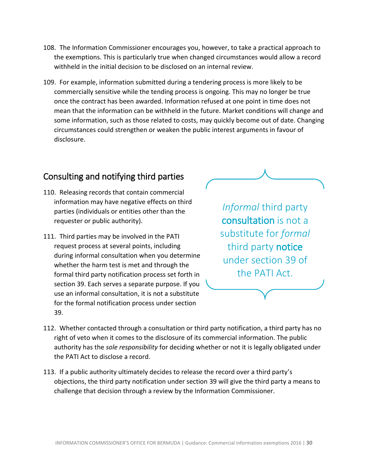- 108. The Information Commissioner encourages you, however, to take a practical approach to the exemptions. This is particularly true when changed circumstances would allow a record withheld in the initial decision to be disclosed on an internal review.
- 109. For example, information submitted during a tendering process is more likely to be commercially sensitive while the tending process is ongoing. This may no longer be true once the contract has been awarded. Information refused at one point in time does not mean that the information can be withheld in the future. Market conditions will change and some information, such as those related to costs, may quickly become out of date. Changing circumstances could strengthen or weaken the public interest arguments in favour of disclosure.

# <span id="page-29-0"></span>Consulting and notifying third parties

- 110. Releasing records that contain commercial information may have negative effects on third parties (individuals or entities other than the requester or public authority).
- 111. Third parties may be involved in the PATI request process at several points, including during informal consultation when you determine whether the harm test is met and through the formal third party notification process set forth in section 39. Each serves a separate purpose. If you use an informal consultation, it is not a substitute for the formal notification process under section 39.

*Informal* third party consultation is not a substitute for *formal*  third party notice under section 39 of the PATI Act.

- 112. Whether contacted through a consultation or third party notification, a third party has no right of veto when it comes to the disclosure of its commercial information. The public authority has the *sole responsibility* for deciding whether or not it is legally obligated under the PATI Act to disclose a record.
- 113. If a public authority ultimately decides to release the record over a third party's objections, the third party notification under section 39 will give the third party a means to challenge that decision through a review by the Information Commissioner.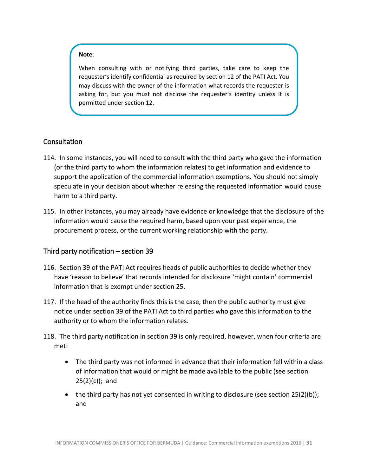#### **Note**:

When consulting with or notifying third parties, take care to keep the requester's identify confidential as required by section 12 of the PATI Act. You may discuss with the owner of the information what records the requester is asking for, but you must not disclose the requester's identity unless it is permitted under section 12.

### <span id="page-30-0"></span>**Consultation**

- 114. In some instances, you will need to consult with the third party who gave the information (or the third party to whom the information relates) to get information and evidence to support the application of the commercial information exemptions. You should not simply speculate in your decision about whether releasing the requested information would cause harm to a third party.
- 115. In other instances, you may already have evidence or knowledge that the disclosure of the information would cause the required harm, based upon your past experience, the procurement process, or the current working relationship with the party.

# <span id="page-30-1"></span>Third party notification – section 39

- 116. Section 39 of the PATI Act requires heads of public authorities to decide whether they have 'reason to believe' that records intended for disclosure 'might contain' commercial information that is exempt under section 25.
- 117. If the head of the authority finds this is the case, then the public authority must give notice under section 39 of the PATI Act to third parties who gave this information to the authority or to whom the information relates.
- 118. The third party notification in section 39 is only required, however, when four criteria are met:
	- The third party was not informed in advance that their information fell within a class of information that would or might be made available to the public (see section  $25(2)(c)$ ; and
	- the third party has not yet consented in writing to disclosure (see section  $25(2)(b)$ ); and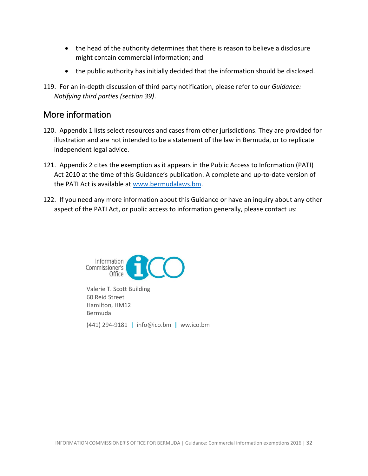- the head of the authority determines that there is reason to believe a disclosure might contain commercial information; and
- the public authority has initially decided that the information should be disclosed.
- 119. For an in-depth discussion of third party notification, please refer to our *Guidance: Notifying third parties (section 39)*.

# <span id="page-31-0"></span>More information

- 120. Appendix 1 lists select resources and cases from other jurisdictions. They are provided for illustration and are not intended to be a statement of the law in Bermuda, or to replicate independent legal advice.
- 121. Appendix 2 cites the exemption as it appears in the Public Access to Information (PATI) Act 2010 at the time of this Guidance's publication. A complete and up-to-date version of the PATI Act is available at [www.bermudalaws.bm.](http://www.bermudalaws.bm/)
- 122. If you need any more information about this Guidance or have an inquiry about any other aspect of the PATI Act, or public access to information generally, please contact us:



Valerie T. Scott Building 60 Reid Street Hamilton, HM12 Bermuda (441) 294-9181 **|** info@ico.bm **|** ww.ico.bm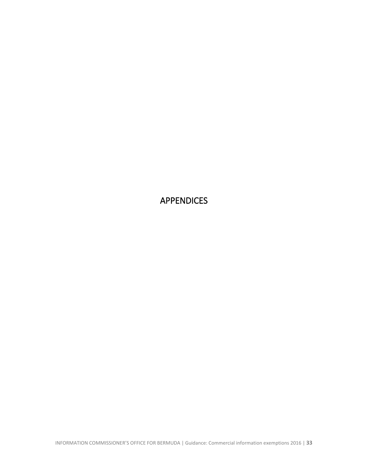<span id="page-32-0"></span>APPENDICES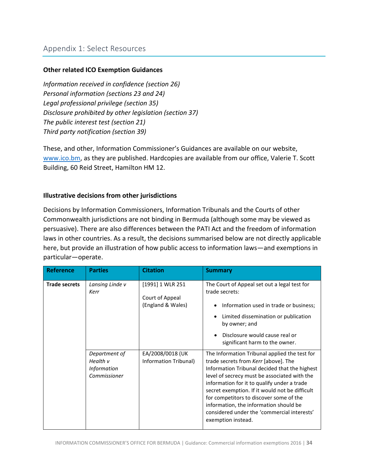#### **Other related ICO Exemption Guidances**

*Information received in confidence (section 26) Personal information (sections 23 and 24) Legal professional privilege (section 35) Disclosure prohibited by other legislation (section 37) The public interest test (section 21) Third party notification (section 39)*

These, and other, Information Commissioner's Guidances are available on our website, [www.ico.bm,](http://www.ico.bm/) as they are published. Hardcopies are available from our office, Valerie T. Scott Building, 60 Reid Street, Hamilton HM 12.

#### **Illustrative decisions from other jurisdictions**

Decisions by Information Commissioners, Information Tribunals and the Courts of other Commonwealth jurisdictions are not binding in Bermuda (although some may be viewed as persuasive). There are also differences between the PATI Act and the freedom of information laws in other countries. As a result, the decisions summarised below are not directly applicable here, but provide an illustration of how public access to information laws—and exemptions in particular—operate.

| <b>Reference</b>     | <b>Parties</b>                                                  | <b>Citation</b>                                          | <b>Summary</b>                                                                                                                                                                                                                                                                                                                                                                                                                                    |
|----------------------|-----------------------------------------------------------------|----------------------------------------------------------|---------------------------------------------------------------------------------------------------------------------------------------------------------------------------------------------------------------------------------------------------------------------------------------------------------------------------------------------------------------------------------------------------------------------------------------------------|
| <b>Trade secrets</b> | Lansing Linde v<br>Kerr                                         | [1991] 1 WLR 251<br>Court of Appeal<br>(England & Wales) | The Court of Appeal set out a legal test for<br>trade secrets:<br>Information used in trade or business;<br>Limited dissemination or publication<br>by owner; and<br>Disclosure would cause real or<br>significant harm to the owner.                                                                                                                                                                                                             |
|                      | Department of<br>Health v<br><b>Information</b><br>Commissioner | EA/2008/0018 (UK<br>Information Tribunal)                | The Information Tribunal applied the test for<br>trade secrets from Kerr [above]. The<br>Information Tribunal decided that the highest<br>level of secrecy must be associated with the<br>information for it to qualify under a trade<br>secret exemption. If it would not be difficult<br>for competitors to discover some of the<br>information, the information should be<br>considered under the 'commercial interests'<br>exemption instead. |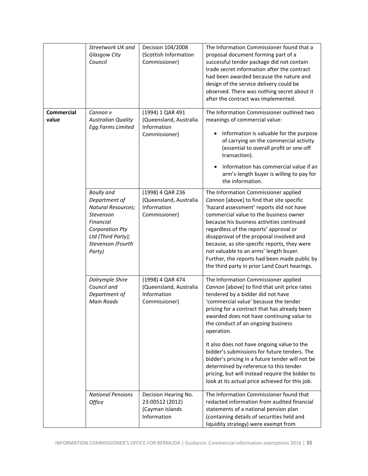|                            | Streetwork UK and<br>Glasgow City<br>Council                                                                                                                             | Decision 104/2008<br>(Scottish Information<br>Commissioner)                | The Information Commissioner found that a<br>proposal document forming part of a<br>successful tender package did not contain<br>trade secret information after the contract<br>had been awarded because the nature and<br>design of the service delivery could be<br>observed. There was nothing secret about it<br>after the contract was implemented.                                                                                                                                                                                                                                                             |
|----------------------------|--------------------------------------------------------------------------------------------------------------------------------------------------------------------------|----------------------------------------------------------------------------|----------------------------------------------------------------------------------------------------------------------------------------------------------------------------------------------------------------------------------------------------------------------------------------------------------------------------------------------------------------------------------------------------------------------------------------------------------------------------------------------------------------------------------------------------------------------------------------------------------------------|
| <b>Commercial</b><br>value | Cannon v<br><b>Australian Quality</b><br><b>Egg Farms Limited</b>                                                                                                        | (1994) 1 QAR 491<br>(Queensland, Australia<br>Information<br>Commissioner) | The Information Commissioner outlined two<br>meanings of commercial value:<br>Information is valuable for the purpose<br>٠<br>of carrying on the commercial activity<br>(essential to overall profit or one-off<br>transaction).<br>Information has commercial value if an<br>arm's-length buyer is willing to pay for<br>the information.                                                                                                                                                                                                                                                                           |
|                            | <b>Boully</b> and<br>Department of<br><b>Natural Resources;</b><br>Stevenson<br>Financial<br><b>Corporation Pty</b><br>Ltd (Third Party);<br>Stevenson (Fourth<br>Party) | (1998) 4 QAR 236<br>(Queensland, Australia<br>Information<br>Commissioner) | The Information Commissioner applied<br>Cannon [above] to find that site specific<br>'hazard assessment' reports did not have<br>commercial value to the business owner<br>because his business activities continued<br>regardless of the reports' approval or<br>disapproval of the proposal involved and<br>because, as site-specific reports, they were<br>not valuable to an arms' length buyer.<br>Further, the reports had been made public by<br>the third party in prior Land Court hearings.                                                                                                                |
|                            | Dalrymple Shire<br>Council and<br>Department of<br><b>Main Roads</b>                                                                                                     | (1998) 4 QAR 474<br>(Queensland, Australia<br>Information<br>Commissioner) | The Information Commissioner applied<br>Cannon [above] to find that unit price rates<br>tendered by a bidder did not have<br>'commercial value' because the tender<br>pricing for a contract that has already been<br>awarded does not have continuing value to<br>the conduct of an ongoing business<br>operation.<br>It also does not have ongoing value to the<br>bidder's submissions for future tenders. The<br>bidder's pricing in a future tender will not be<br>determined by reference to this tender<br>pricing, but will instead require the bidder to<br>look at its actual price achieved for this job. |
|                            | <b>National Pensions</b><br>Office                                                                                                                                       | Decision Hearing No.<br>23-00512 (2012)<br>(Cayman Islands<br>Information  | The Information Commissioner found that<br>redacted information from audited financial<br>statements of a national pension plan<br>(containing details of securities held and<br>liquidity strategy) were exempt from                                                                                                                                                                                                                                                                                                                                                                                                |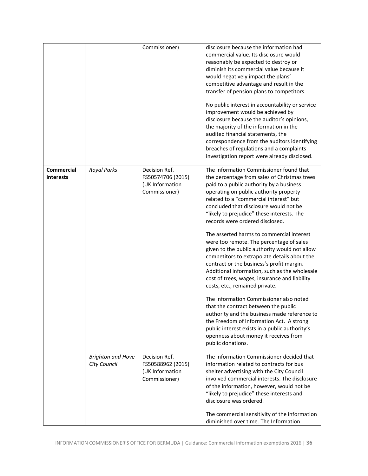|                                |                                          | Commissioner)                                                          | disclosure because the information had<br>commercial value. Its disclosure would<br>reasonably be expected to destroy or<br>diminish its commercial value because it<br>would negatively impact the plans'<br>competitive advantage and result in the<br>transfer of pension plans to competitors.<br>No public interest in accountability or service<br>improvement would be achieved by<br>disclosure because the auditor's opinions,<br>the majority of the information in the<br>audited financial statements, the<br>correspondence from the auditors identifying<br>breaches of regulations and a complaints<br>investigation report were already disclosed.                                                                                                                                                                                                                                                                                                                                                           |
|--------------------------------|------------------------------------------|------------------------------------------------------------------------|------------------------------------------------------------------------------------------------------------------------------------------------------------------------------------------------------------------------------------------------------------------------------------------------------------------------------------------------------------------------------------------------------------------------------------------------------------------------------------------------------------------------------------------------------------------------------------------------------------------------------------------------------------------------------------------------------------------------------------------------------------------------------------------------------------------------------------------------------------------------------------------------------------------------------------------------------------------------------------------------------------------------------|
| <b>Commercial</b><br>interests | <b>Royal Parks</b>                       | Decision Ref.<br>FS50574706 (2015)<br>(UK Information<br>Commissioner) | The Information Commissioner found that<br>the percentage from sales of Christmas trees<br>paid to a public authority by a business<br>operating on public authority property<br>related to a "commercial interest" but<br>concluded that disclosure would not be<br>"likely to prejudice" these interests. The<br>records were ordered disclosed.<br>The asserted harms to commercial interest<br>were too remote. The percentage of sales<br>given to the public authority would not allow<br>competitors to extrapolate details about the<br>contract or the business's profit margin.<br>Additional information, such as the wholesale<br>cost of trees, wages, insurance and liability<br>costs, etc., remained private.<br>The Information Commissioner also noted<br>that the contract between the public<br>authority and the business made reference to<br>the Freedom of Information Act. A strong<br>public interest exists in a public authority's<br>openness about money it receives from<br>public donations. |
|                                | <b>Brighton and Hove</b><br>City Council | Decision Ref.<br>FS50588962 (2015)<br>(UK Information<br>Commissioner) | The Information Commissioner decided that<br>information related to contracts for bus<br>shelter advertising with the City Council<br>involved commercial interests. The disclosure<br>of the information, however, would not be<br>"likely to prejudice" these interests and<br>disclosure was ordered.<br>The commercial sensitivity of the information<br>diminished over time. The Information                                                                                                                                                                                                                                                                                                                                                                                                                                                                                                                                                                                                                           |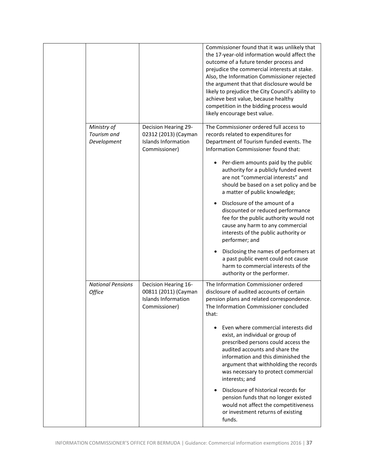|                                    |                                                                                      | Commissioner found that it was unlikely that<br>the 17-year-old information would affect the<br>outcome of a future tender process and<br>prejudice the commercial interests at stake.<br>Also, the Information Commissioner rejected<br>the argument that that disclosure would be<br>likely to prejudice the City Council's ability to<br>achieve best value, because healthy<br>competition in the bidding process would |
|------------------------------------|--------------------------------------------------------------------------------------|-----------------------------------------------------------------------------------------------------------------------------------------------------------------------------------------------------------------------------------------------------------------------------------------------------------------------------------------------------------------------------------------------------------------------------|
| Ministry of                        | Decision Hearing 29-                                                                 | likely encourage best value.<br>The Commissioner ordered full access to                                                                                                                                                                                                                                                                                                                                                     |
| Tourism and<br>Development         | 02312 (2013) (Cayman<br><b>Islands Information</b><br>Commissioner)                  | records related to expenditures for<br>Department of Tourism funded events. The<br>Information Commissioner found that:                                                                                                                                                                                                                                                                                                     |
|                                    |                                                                                      | Per-diem amounts paid by the public<br>authority for a publicly funded event<br>are not "commercial interests" and<br>should be based on a set policy and be<br>a matter of public knowledge;                                                                                                                                                                                                                               |
|                                    |                                                                                      | Disclosure of the amount of a<br>discounted or reduced performance<br>fee for the public authority would not<br>cause any harm to any commercial<br>interests of the public authority or<br>performer; and                                                                                                                                                                                                                  |
|                                    |                                                                                      | Disclosing the names of performers at<br>a past public event could not cause<br>harm to commercial interests of the<br>authority or the performer.                                                                                                                                                                                                                                                                          |
| <b>National Pensions</b><br>Office | Decision Hearing 16-<br>00811 (2011) (Cayman<br>Islands Information<br>Commissioner) | The Information Commissioner ordered<br>disclosure of audited accounts of certain<br>pension plans and related correspondence.<br>The Information Commissioner concluded<br>that:                                                                                                                                                                                                                                           |
|                                    |                                                                                      | Even where commercial interests did<br>exist, an individual or group of<br>prescribed persons could access the<br>audited accounts and share the<br>information and this diminished the<br>argument that withholding the records<br>was necessary to protect commercial<br>interests; and                                                                                                                                   |
|                                    |                                                                                      | Disclosure of historical records for<br>pension funds that no longer existed<br>would not affect the competitiveness<br>or investment returns of existing<br>funds.                                                                                                                                                                                                                                                         |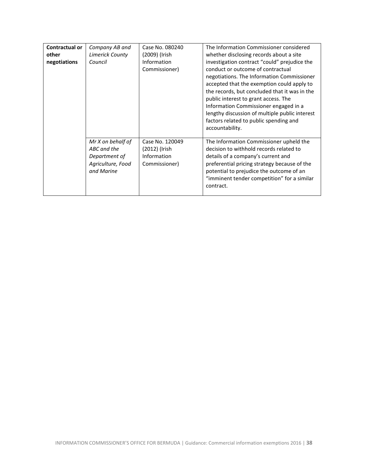| <b>Contractual or</b><br>other<br>negotiations | Company AB and<br>Limerick County<br>Council                                         | Case No. 080240<br>(2009) (Irish<br>Information<br>Commissioner) | The Information Commissioner considered<br>whether disclosing records about a site<br>investigation contract "could" prejudice the<br>conduct or outcome of contractual<br>negotiations. The Information Commissioner<br>accepted that the exemption could apply to<br>the records, but concluded that it was in the<br>public interest to grant access. The<br>Information Commissioner engaged in a<br>lengthy discussion of multiple public interest<br>factors related to public spending and<br>accountability. |
|------------------------------------------------|--------------------------------------------------------------------------------------|------------------------------------------------------------------|----------------------------------------------------------------------------------------------------------------------------------------------------------------------------------------------------------------------------------------------------------------------------------------------------------------------------------------------------------------------------------------------------------------------------------------------------------------------------------------------------------------------|
|                                                | Mr X on behalf of<br>ABC and the<br>Department of<br>Agriculture, Food<br>and Marine | Case No. 120049<br>(2012) (Irish<br>Information<br>Commissioner) | The Information Commissioner upheld the<br>decision to withhold records related to<br>details of a company's current and<br>preferential pricing strategy because of the<br>potential to prejudice the outcome of an<br>"imminent tender competition" for a similar<br>contract.                                                                                                                                                                                                                                     |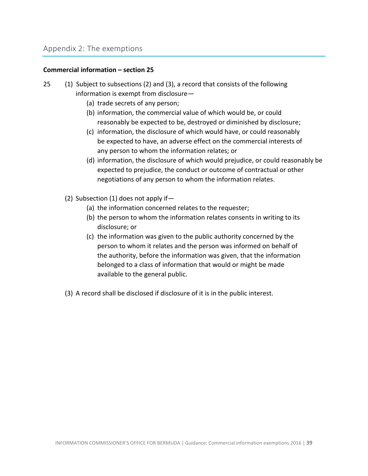# Appendix 2: The exemptions

#### **Commercial information – section 25**

- 25 (1) Subject to subsections (2) and (3), a record that consists of the following information is exempt from disclosure—
	- (a) trade secrets of any person;
	- (b) information, the commercial value of which would be, or could reasonably be expected to be, destroyed or diminished by disclosure;
	- (c) information, the disclosure of which would have, or could reasonably be expected to have, an adverse effect on the commercial interests of any person to whom the information relates; or
	- (d) information, the disclosure of which would prejudice, or could reasonably be expected to prejudice, the conduct or outcome of contractual or other negotiations of any person to whom the information relates.
	- (2) Subsection (1) does not apply if—
		- (a) the information concerned relates to the requester;
		- (b) the person to whom the information relates consents in writing to its disclosure; or
		- (c) the information was given to the public authority concerned by the person to whom it relates and the person was informed on behalf of the authority, before the information was given, that the information belonged to a class of information that would or might be made available to the general public.
	- (3) A record shall be disclosed if disclosure of it is in the public interest.